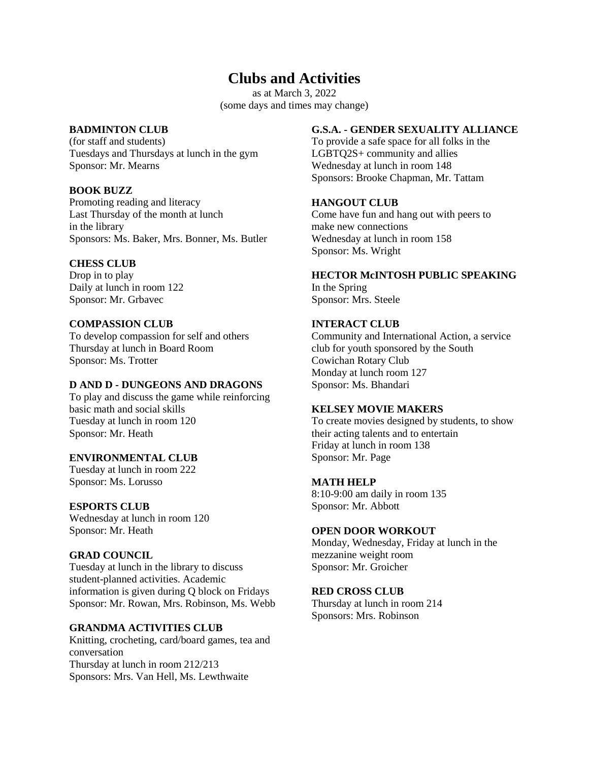# **Clubs and Activities**

as at March 3, 2022 (some days and times may change)

## **BADMINTON CLUB**

(for staff and students) Tuesdays and Thursdays at lunch in the gym Sponsor: Mr. Mearns

## **BOOK BUZZ**

Promoting reading and literacy Last Thursday of the month at lunch in the library Sponsors: Ms. Baker, Mrs. Bonner, Ms. Butler

## **CHESS CLUB**

Drop in to play Daily at lunch in room 122 Sponsor: Mr. Grbavec

## **COMPASSION CLUB**

To develop compassion for self and others Thursday at lunch in Board Room Sponsor: Ms. Trotter

#### **D AND D - DUNGEONS AND DRAGONS**

To play and discuss the game while reinforcing basic math and social skills Tuesday at lunch in room 120 Sponsor: Mr. Heath

# **ENVIRONMENTAL CLUB**

Tuesday at lunch in room 222 Sponsor: Ms. Lorusso

#### **ESPORTS CLUB**

Wednesday at lunch in room 120 Sponsor: Mr. Heath

# **GRAD COUNCIL**

Tuesday at lunch in the library to discuss student-planned activities. Academic information is given during Q block on Fridays Sponsor: Mr. Rowan, Mrs. Robinson, Ms. Webb

#### **GRANDMA ACTIVITIES CLUB**

Knitting, crocheting, card/board games, tea and conversation Thursday at lunch in room 212/213 Sponsors: Mrs. Van Hell, Ms. Lewthwaite

## **G.S.A. - GENDER SEXUALITY ALLIANCE**

To provide a safe space for all folks in the LGBTQ2S+ community and allies Wednesday at lunch in room 148 Sponsors: Brooke Chapman, Mr. Tattam

# **HANGOUT CLUB**

Come have fun and hang out with peers to make new connections Wednesday at lunch in room 158 Sponsor: Ms. Wright

## **HECTOR McINTOSH PUBLIC SPEAKING**

In the Spring Sponsor: Mrs. Steele

## **INTERACT CLUB**

Community and International Action, a service club for youth sponsored by the South Cowichan Rotary Club Monday at lunch room 127 Sponsor: Ms. Bhandari

#### **KELSEY MOVIE MAKERS**

To create movies designed by students, to show their acting talents and to entertain Friday at lunch in room 138 Sponsor: Mr. Page

#### **MATH HELP**

8:10-9:00 am daily in room 135 Sponsor: Mr. Abbott

#### **OPEN DOOR WORKOUT**

Monday, Wednesday, Friday at lunch in the mezzanine weight room Sponsor: Mr. Groicher

### **RED CROSS CLUB**

Thursday at lunch in room 214 Sponsors: Mrs. Robinson